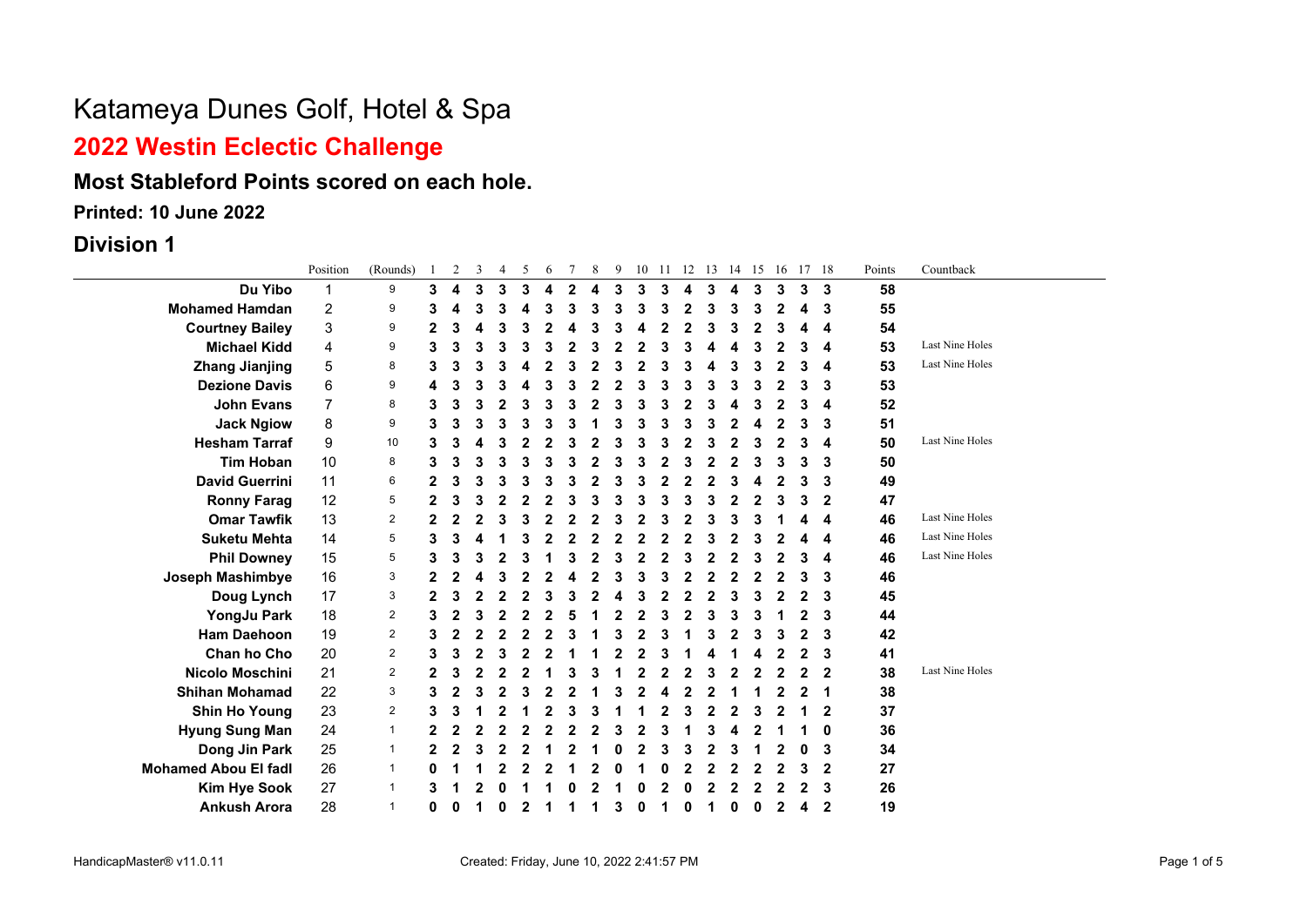## **2022 Westin Eclectic Challenge**

### **Most Stableford Points scored on each hole.**

**Printed: 10 June 2022**

**Division 1**

|                             | Position       | (Rounds)       |   | 2 | 3 | 4 | 5 | 6 | 7            | 8 | 9 |   |   |   | 10 11 12 13 | 14 15 |   |   | 16 17 18 |              | Points | Countback              |
|-----------------------------|----------------|----------------|---|---|---|---|---|---|--------------|---|---|---|---|---|-------------|-------|---|---|----------|--------------|--------|------------------------|
| Du Yibo                     | 1              | 9              | 3 | 4 | 3 | 3 | 3 | 4 | $\mathbf{2}$ | 4 | 3 | 3 | 3 | 4 | 3           | 4     | 3 | 3 | 3        | 3            | 58     |                        |
| <b>Mohamed Hamdan</b>       | $\overline{c}$ | 9              | 3 | 4 | 3 |   | Δ |   | 3            |   | 3 |   | 3 | 2 | 3           | 3     | 3 |   | 4        | 3            | 55     |                        |
| <b>Courtney Bailey</b>      | 3              | 9              | 2 | 3 | Δ |   |   |   |              |   |   |   | 2 |   |             |       |   |   | 4        | 4            | 54     |                        |
| <b>Michael Kidd</b>         | 4              | 9              | 3 | 3 |   |   |   |   |              |   |   |   |   |   |             |       |   |   | 3        | 4            | 53     | Last Nine Holes        |
| <b>Zhang Jianjing</b>       | $\mathbf 5$    | 8              | 3 | 3 | 3 |   |   |   | 3            |   | 3 |   |   |   |             |       | 3 |   | 3        | 4            | 53     | Last Nine Holes        |
| <b>Dezione Davis</b>        | 6              | 9              | 4 | 3 | 3 |   |   |   |              |   |   |   |   |   | 3           |       | 3 |   | 3        | 3            | 53     |                        |
| <b>John Evans</b>           | 7              | 8              | 3 | 3 | 3 |   |   |   |              |   |   |   |   |   |             |       |   |   | 3        | 4            | 52     |                        |
| <b>Jack Ngiow</b>           | 8              | 9              | 3 | 3 | 3 |   | 3 |   |              |   |   |   |   |   | 3           |       | 4 |   | 3        | 3            | 51     |                        |
| <b>Hesham Tarraf</b>        | 9              | 10             | 3 | 3 |   |   |   |   |              |   |   |   |   |   | 3           |       |   |   | 3        | 4            | 50     | Last Nine Holes        |
| <b>Tim Hoban</b>            | 10             | 8              | 3 | 3 | 3 |   | 3 |   |              |   | 3 |   |   |   |             |       |   |   | 3        | 3            | 50     |                        |
| <b>David Guerrini</b>       | 11             | 6              | 2 | 3 | 3 |   |   |   |              |   |   |   |   |   |             |       |   |   | 3        | 3            | 49     |                        |
| <b>Ronny Farag</b>          | 12             | 5              | 2 | 3 | 3 |   | 2 |   |              |   | 3 |   |   |   | 3           |       | 2 |   | 3        | $\mathbf{2}$ | 47     |                        |
| <b>Omar Tawfik</b>          | 13             | $\overline{c}$ | 2 | 2 | 2 |   |   |   |              |   |   |   |   |   |             |       |   |   | Δ        | 4            | 46     | <b>Last Nine Holes</b> |
| <b>Suketu Mehta</b>         | 14             | 5              | 3 | 3 |   |   |   |   |              |   |   |   |   |   |             |       |   |   |          | 4            | 46     | <b>Last Nine Holes</b> |
| <b>Phil Downey</b>          | 15             | 5              | 3 | 3 | 3 |   | 3 |   | 3            |   | 3 |   |   |   |             |       | 3 |   | 3        | 4            | 46     | Last Nine Holes        |
| Joseph Mashimbye            | 16             | 3              | 2 |   |   |   |   |   |              |   |   |   |   |   |             |       |   |   | 3        | 3            | 46     |                        |
| Doug Lynch                  | 17             | 3              | 2 | 3 |   |   |   |   |              |   |   |   |   |   |             |       |   |   | 2        | 3            | 45     |                        |
| YongJu Park                 | 18             | 2              | 3 | 2 | 3 |   |   |   |              |   |   |   |   |   | 3           |       |   |   |          | 3            | 44     |                        |
| <b>Ham Daehoon</b>          | 19             | 2              | 3 | 2 | 2 |   | 2 | 2 |              |   |   |   | 3 |   | 3           | 2     | 3 |   | 2        | 3            | 42     |                        |
| Chan ho Cho                 | 20             | $\overline{2}$ | 3 | 3 | 2 |   |   |   |              |   |   |   |   |   |             |       |   |   | 2        | 3            | 41     |                        |
| Nicolo Moschini             | 21             | 2              | 2 |   | 2 |   |   |   |              |   |   |   |   |   |             |       |   |   | 2        | $\mathbf 2$  | 38     | Last Nine Holes        |
| <b>Shihan Mohamad</b>       | 22             | 3              | 3 | 2 | 3 |   | 3 |   |              |   | 3 |   |   |   | 2           |       |   |   | 2        | 1            | 38     |                        |
| <b>Shin Ho Young</b>        | 23             | $\overline{2}$ | 3 | 3 |   |   |   |   |              |   |   |   |   |   |             |       |   |   |          | $\mathbf 2$  | 37     |                        |
| <b>Hyung Sung Man</b>       | 24             | $\mathbf{1}$   | 2 | 2 | 2 |   |   |   |              |   |   |   |   |   |             |       |   |   |          | 0            | 36     |                        |
| Dong Jin Park               | 25             | $\mathbf 1$    | 2 | 2 | 3 |   | 2 |   |              |   |   |   |   |   | 2           |       |   |   | 0        | 3            | 34     |                        |
| <b>Mohamed Abou El fadl</b> | 26             | 1              | 0 |   |   |   |   |   |              |   |   |   |   |   |             |       |   |   | 3        | $\mathbf{2}$ | 27     |                        |
| <b>Kim Hye Sook</b>         | 27             | 1              | 3 |   |   |   |   |   |              |   |   |   |   |   |             |       |   |   | 2        | 3            | 26     |                        |
| <b>Ankush Arora</b>         | 28             | 1              | 0 | 0 | 1 | 0 | 2 |   |              |   | 3 | ŋ |   |   |             | 0     | 0 |   | 4        | $\mathbf{2}$ | 19     |                        |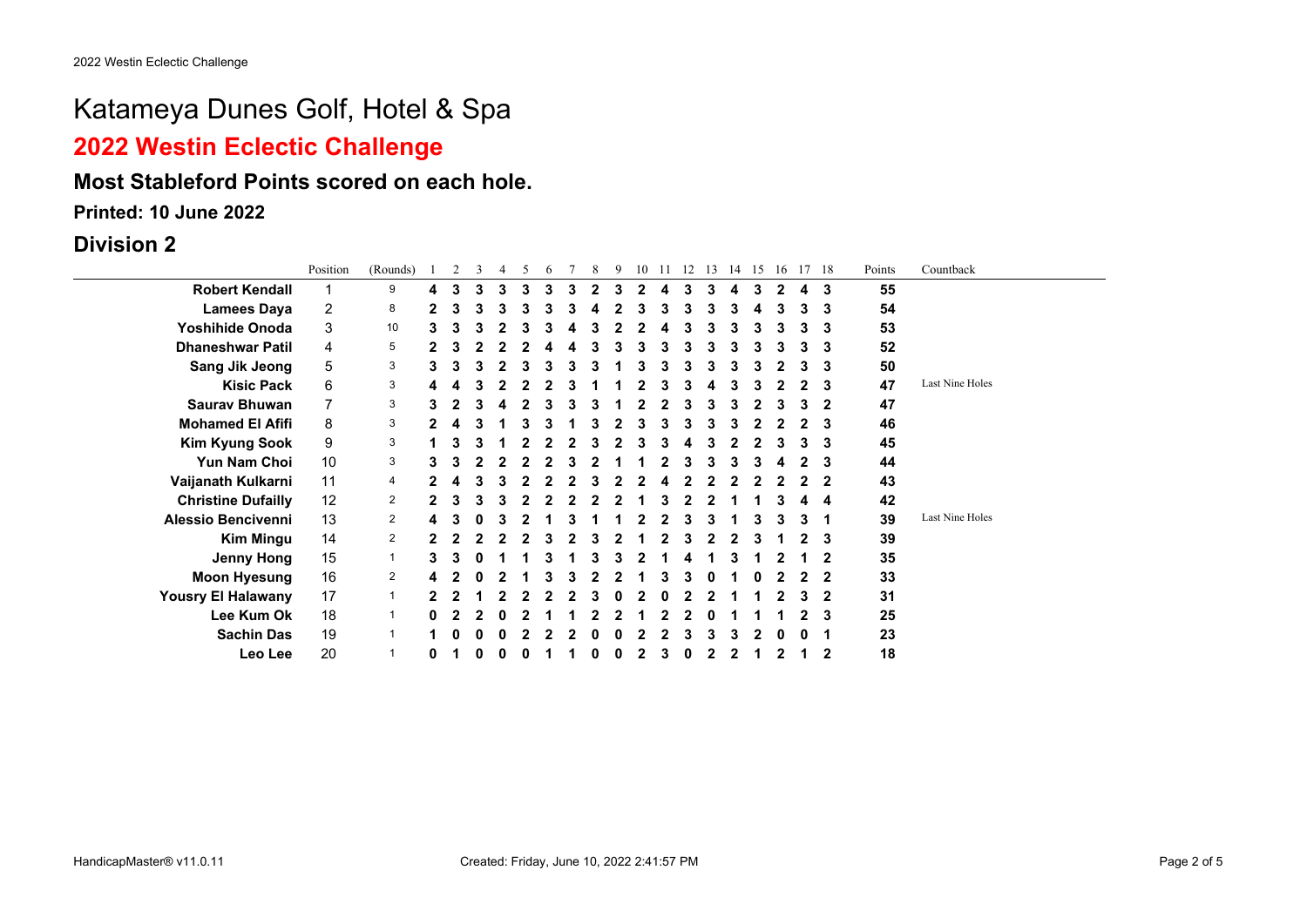## **2022 Westin Eclectic Challenge**

### **Most Stableford Points scored on each hole.**

**Printed: 10 June 2022**

#### **Division 2**

|                           | Position | (Rounds)       |              |   | 3 | 4 | 5 | 6 |   | 8 | 9 | 10 | 11 | 12 | 13 | 14 | 15 | 16          |   | 17 18        | Points | Countback       |
|---------------------------|----------|----------------|--------------|---|---|---|---|---|---|---|---|----|----|----|----|----|----|-------------|---|--------------|--------|-----------------|
| <b>Robert Kendall</b>     |          | 9              | 4            | 3 | 3 | 3 | 3 | 3 | 3 | 2 |   | 2  | 4  | 3  | 3  | 4  | 3  | $\mathbf 2$ | 4 | 3            | 55     |                 |
| <b>Lamees Daya</b>        | 2        | 8              | 2            | 3 | 3 |   | 3 | 3 |   |   |   | З  | 3  |    |    |    | 4  | 3           | 3 | 3            | 54     |                 |
| <b>Yoshihide Onoda</b>    | 3        | 10             | 3            |   |   |   | з | 3 |   |   |   |    |    |    |    |    | 3  | 3           | 3 | 3            | 53     |                 |
| <b>Dhaneshwar Patil</b>   | 4        | 5              | 2            |   |   |   |   |   |   |   |   |    |    |    |    |    | з  | 3           |   | 3            | 52     |                 |
| <b>Sang Jik Jeong</b>     | 5        | 3              | 3.           |   |   |   |   |   |   |   |   |    |    |    |    |    | 3  |             |   | 3            | 50     |                 |
| <b>Kisic Pack</b>         | 6        | 3              |              |   |   |   |   |   |   |   |   |    |    |    |    |    |    |             |   | 3            | 47     | Last Nine Holes |
| <b>Saurav Bhuwan</b>      | 7        | 3              | 3            |   |   |   |   |   |   |   |   |    |    |    |    |    | 2  | 3           | 3 | $\mathbf{2}$ | 47     |                 |
| <b>Mohamed El Afifi</b>   | 8        | 3              | 2            |   |   |   | з | 3 |   |   |   |    | 3  |    |    |    | 2  | 2           |   | 3            | 46     |                 |
| <b>Kim Kyung Sook</b>     | 9        | 3              |              |   |   |   |   |   |   |   |   |    |    |    |    |    |    | 3           |   | 3            | 45     |                 |
| Yun Nam Choi              | 10       | 3              | 3.           |   |   |   |   |   |   |   |   |    |    |    |    |    | 3  |             |   | 3            | 44     |                 |
| Vaijanath Kulkarni        | 11       | 4              |              |   |   |   |   |   |   |   |   |    |    |    |    |    |    |             |   | $\mathbf 2$  | 43     |                 |
| <b>Christine Dufailly</b> | 12       | $\overline{2}$ | $\mathbf{2}$ |   |   |   |   |   |   |   |   |    |    |    |    |    |    |             |   | 4            | 42     |                 |
| <b>Alessio Bencivenni</b> | 13       | $\overline{2}$ | 4            |   |   |   |   |   |   |   |   |    |    |    |    |    | 3  | 3           | 3 | 1            | 39     | Last Nine Holes |
| <b>Kim Mingu</b>          | 14       | $\overline{2}$ |              |   |   |   |   |   |   |   |   |    |    |    |    |    |    |             |   | 3            | 39     |                 |
| <b>Jenny Hong</b>         | 15       | 1              | 3.           |   |   |   |   |   |   |   |   |    |    |    |    |    |    |             |   |              | 35     |                 |
| <b>Moon Hyesung</b>       | 16       | $\overline{2}$ |              |   |   |   |   |   |   |   |   |    |    |    |    |    |    |             |   | $\mathbf 2$  | 33     |                 |
| <b>Yousry El Halawany</b> | 17       | 1              | 2            |   |   |   |   |   |   |   |   |    |    |    |    |    |    |             |   | $\mathbf{2}$ | 31     |                 |
| Lee Kum Ok                | 18       | 1              | 0            |   |   |   |   |   |   |   |   |    |    |    |    |    |    |             |   | 3            | 25     |                 |
| <b>Sachin Das</b>         | 19       |                |              |   |   |   |   |   |   |   |   |    |    |    |    |    |    |             |   |              | 23     |                 |
| Leo Lee                   | 20       |                | 0            |   |   |   |   |   |   |   |   |    | 3  |    |    |    |    |             |   | $\mathbf{2}$ | 18     |                 |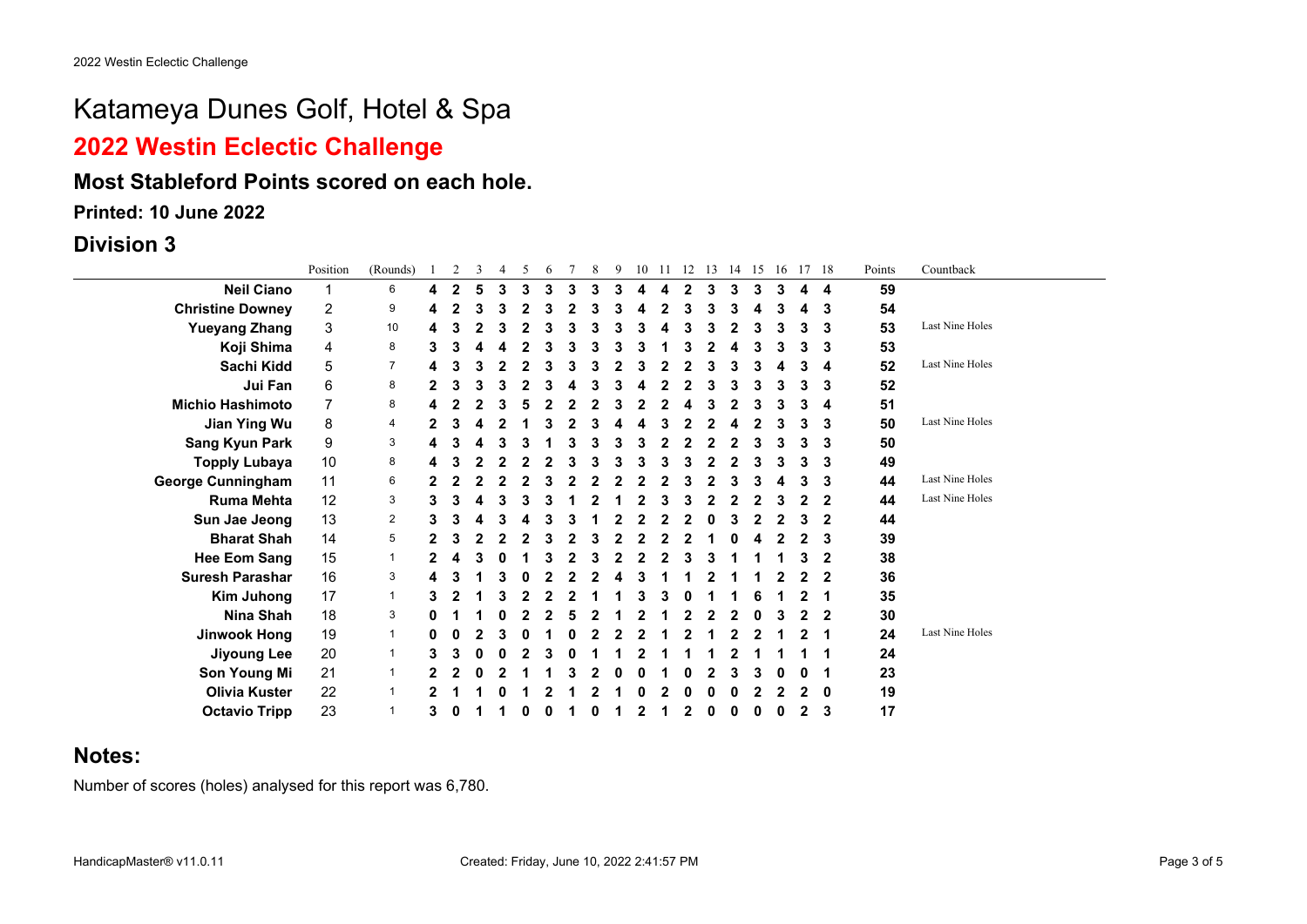### **2022 Westin Eclectic Challenge**

#### **Most Stableford Points scored on each hole.**

**Printed: 10 June 2022**

**Division 3**

|                          | Position | (Rounds)       |   | 2            | 3 | $\overline{4}$ | 5 | 6 | 8 | 9 | 10 | -11 | 12 | 13 | 14 | 15 | 16 |   | 17 18       | Points | Countback       |
|--------------------------|----------|----------------|---|--------------|---|----------------|---|---|---|---|----|-----|----|----|----|----|----|---|-------------|--------|-----------------|
| <b>Neil Ciano</b>        |          | 6              |   | $\mathbf{2}$ |   | 3              | 3 | 3 | 3 |   |    |     | 2  | 3  | 3  | 3  | 3  | 4 | 4           | 59     |                 |
| <b>Christine Downey</b>  | 2        | 9              |   |              |   |                |   |   |   |   |    |     |    |    |    |    |    |   | 3           | 54     |                 |
| <b>Yueyang Zhang</b>     | 3        | 10             |   |              |   |                |   |   |   |   |    |     |    |    |    |    |    | 3 | 3           | 53     | Last Nine Holes |
| Koji Shima               | 4        | 8              |   |              |   |                |   |   |   |   |    |     |    |    |    |    |    |   | 3           | 53     |                 |
| Sachi Kidd               | 5        | $\overline{7}$ |   |              |   |                |   |   |   |   |    |     |    |    |    |    |    | 3 | 4           | 52     | Last Nine Holes |
| Jui Fan                  | 6        | 8              |   | 3            |   |                |   |   |   |   |    |     |    |    |    | 3  | З  | 3 | 3           | 52     |                 |
| <b>Michio Hashimoto</b>  |          | 8              |   |              |   |                |   |   |   |   |    |     |    |    |    |    |    | 3 | 4           | 51     |                 |
| Jian Ying Wu             | 8        | 4              |   |              |   |                |   |   |   |   |    |     |    |    |    |    |    | 3 | 3           | 50     | Last Nine Holes |
| <b>Sang Kyun Park</b>    | 9        | 3              |   |              |   |                |   |   |   |   |    |     |    |    |    |    |    |   | 3           | 50     |                 |
| <b>Topply Lubaya</b>     | 10       | 8              |   |              |   |                |   |   |   |   |    |     |    |    |    |    |    | 3 | 3           | 49     |                 |
| <b>George Cunningham</b> | 11       | 6              |   |              |   |                |   |   |   |   |    |     |    |    |    |    |    |   | 3           | 44     | Last Nine Holes |
| <b>Ruma Mehta</b>        | 12       | 3              |   | 3            |   |                |   |   |   |   |    |     |    |    |    |    |    |   | $\mathbf 2$ | 44     | Last Nine Holes |
| Sun Jae Jeong            | 13       | $\overline{2}$ |   | 3            |   |                |   |   |   |   |    |     |    |    |    |    |    | 3 | 2           | 44     |                 |
| <b>Bharat Shah</b>       | 14       | 5              |   |              |   |                |   |   |   |   |    |     |    |    |    |    |    |   | 3           | 39     |                 |
| <b>Hee Eom Sang</b>      | 15       | $\mathbf 1$    |   |              |   |                |   |   |   |   |    |     |    |    |    |    |    |   | $\mathbf 2$ | 38     |                 |
| <b>Suresh Parashar</b>   | 16       | 3              |   |              |   |                |   |   |   |   |    |     |    |    |    |    |    |   | $\mathbf 2$ | 36     |                 |
| Kim Juhong               | 17       | $\mathbf{1}$   |   |              |   |                |   |   |   |   |    |     |    |    |    |    |    |   |             | 35     |                 |
| Nina Shah                | 18       | 3              |   |              |   |                |   |   |   |   |    |     |    |    |    |    |    |   | $\mathbf 2$ | 30     |                 |
| <b>Jinwook Hong</b>      | 19       | $\mathbf{1}$   |   |              |   |                |   |   |   |   |    |     |    |    |    |    |    |   |             | 24     | Last Nine Holes |
| <b>Jiyoung Lee</b>       | 20       | $\mathbf{1}$   |   |              |   |                |   |   |   |   |    |     |    |    |    |    |    |   |             | 24     |                 |
| Son Young Mi             | 21       |                |   |              |   |                |   |   |   |   |    |     |    |    |    |    |    |   |             | 23     |                 |
| Olivia Kuster            | 22       |                |   |              |   |                |   |   |   |   |    |     |    |    |    |    |    |   | 0           | 19     |                 |
| <b>Octavio Tripp</b>     | 23       |                | 3 |              |   |                |   |   |   |   |    |     |    |    |    | O  |    | 2 | 3           | 17     |                 |

#### **Notes:**

Number of scores (holes) analysed for this report was 6,780.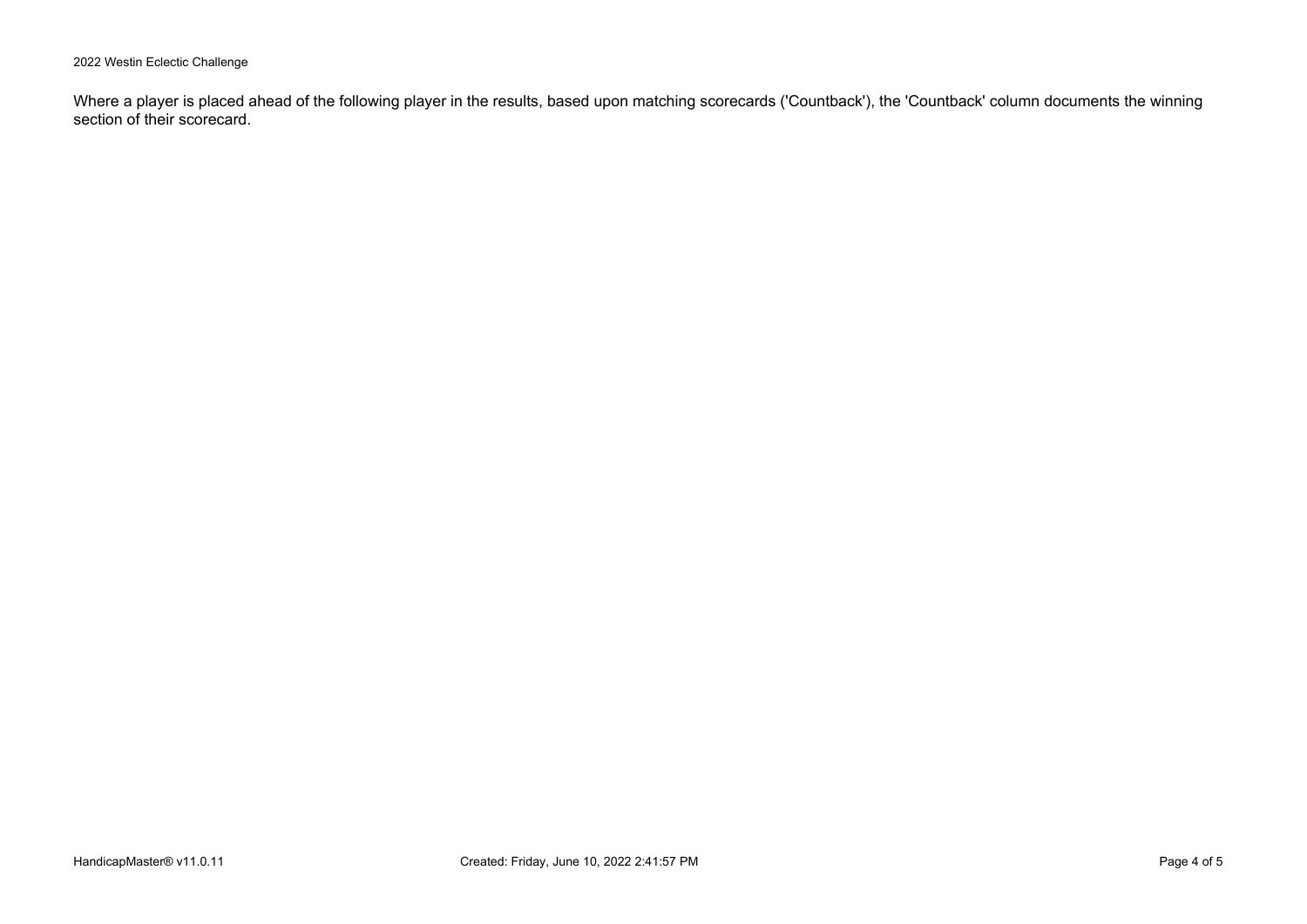2022 Westin Eclectic Challenge

Where a player is placed ahead of the following player in the results, based upon matching scorecards ('Countback'), the 'Countback' column documents the winning section of their scorecard.